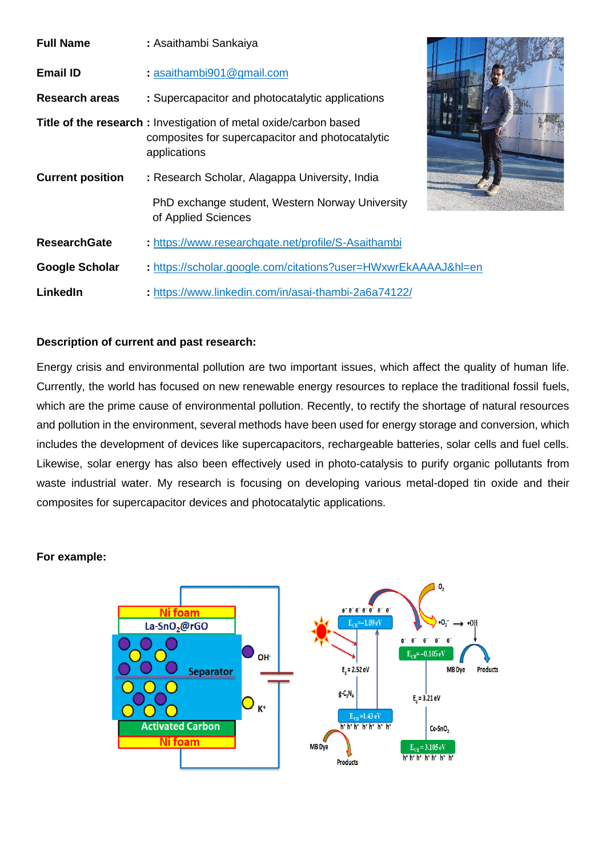| <b>Full Name</b>        | : Asaithambi Sankaiya                                                                                                                |  |
|-------------------------|--------------------------------------------------------------------------------------------------------------------------------------|--|
| <b>Email ID</b>         | : asaithambi901@gmail.com                                                                                                            |  |
| <b>Research areas</b>   | : Supercapacitor and photocatalytic applications                                                                                     |  |
|                         | Title of the research: Investigation of metal oxide/carbon based<br>composites for supercapacitor and photocatalytic<br>applications |  |
| <b>Current position</b> | : Research Scholar, Alagappa University, India                                                                                       |  |
|                         | PhD exchange student, Western Norway University<br>of Applied Sciences                                                               |  |
| <b>ResearchGate</b>     | : https://www.researchgate.net/profile/S-Asaithambi                                                                                  |  |
| Google Scholar          | : https://scholar.google.com/citations?user=HWxwrEkAAAAJ&hl=en                                                                       |  |
| LinkedIn                | : https://www.linkedin.com/in/asai-thambi-2a6a74122/                                                                                 |  |



## **Description of current and past research:**

Energy crisis and environmental pollution are two important issues, which affect the quality of human life. Currently, the world has focused on new renewable energy resources to replace the traditional fossil fuels, which are the prime cause of environmental pollution. Recently, to rectify the shortage of natural resources and pollution in the environment, several methods have been used for energy storage and conversion, which includes the development of devices like supercapacitors, rechargeable batteries, solar cells and fuel cells. Likewise, solar energy has also been effectively used in photo-catalysis to purify organic pollutants from waste industrial water. My research is focusing on developing various metal-doped tin oxide and their composites for supercapacitor devices and photocatalytic applications.

## **For example:**